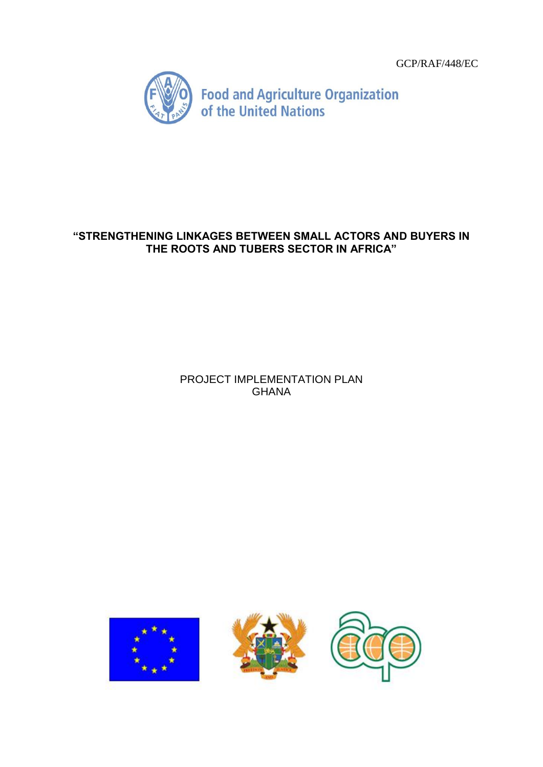

# **"STRENGTHENING LINKAGES BETWEEN SMALL ACTORS AND BUYERS IN THE ROOTS AND TUBERS SECTOR IN AFRICA"**

# PROJECT IMPLEMENTATION PLAN GHANA





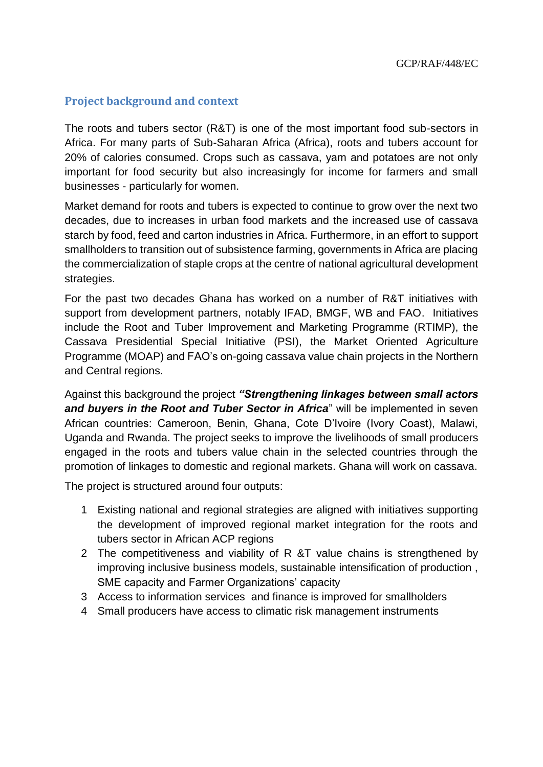# **Project background and context**

The roots and tubers sector (R&T) is one of the most important food sub-sectors in Africa. For many parts of Sub-Saharan Africa (Africa), roots and tubers account for 20% of calories consumed. Crops such as cassava, yam and potatoes are not only important for food security but also increasingly for income for farmers and small businesses - particularly for women.

Market demand for roots and tubers is expected to continue to grow over the next two decades, due to increases in urban food markets and the increased use of cassava starch by food, feed and carton industries in Africa. Furthermore, in an effort to support smallholders to transition out of subsistence farming, governments in Africa are placing the commercialization of staple crops at the centre of national agricultural development strategies.

For the past two decades Ghana has worked on a number of R&T initiatives with support from development partners, notably IFAD, BMGF, WB and FAO. Initiatives include the Root and Tuber Improvement and Marketing Programme (RTIMP), the Cassava Presidential Special Initiative (PSI), the Market Oriented Agriculture Programme (MOAP) and FAO's on-going cassava value chain projects in the Northern and Central regions.

Against this background the project *"Strengthening linkages between small actors and buyers in the Root and Tuber Sector in Africa*" will be implemented in seven African countries: Cameroon, Benin, Ghana, Cote D'Ivoire (Ivory Coast), Malawi, Uganda and Rwanda. The project seeks to improve the livelihoods of small producers engaged in the roots and tubers value chain in the selected countries through the promotion of linkages to domestic and regional markets. Ghana will work on cassava.

The project is structured around four outputs:

- 1 Existing national and regional strategies are aligned with initiatives supporting the development of improved regional market integration for the roots and tubers sector in African ACP regions
- 2 The competitiveness and viability of R &T value chains is strengthened by improving inclusive business models, sustainable intensification of production , SME capacity and Farmer Organizations' capacity
- 3 Access to information services and finance is improved for smallholders
- 4 Small producers have access to climatic risk management instruments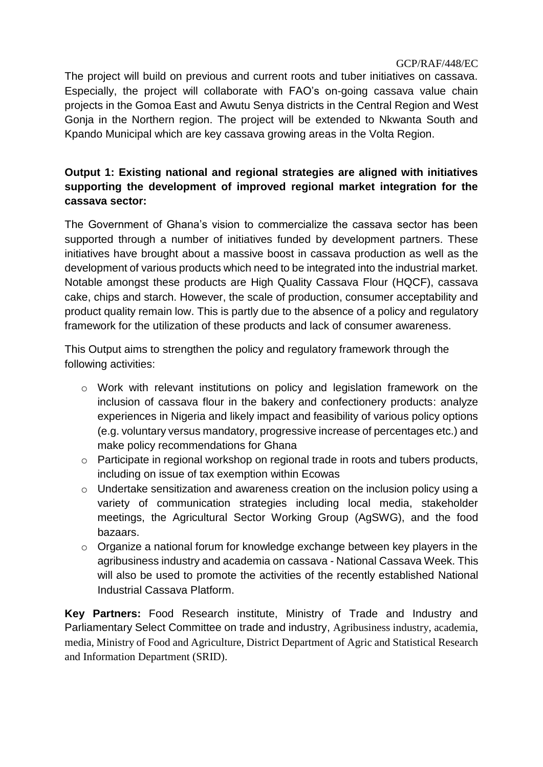The project will build on previous and current roots and tuber initiatives on cassava. Especially, the project will collaborate with FAO's on-going cassava value chain projects in the Gomoa East and Awutu Senya districts in the Central Region and West Gonja in the Northern region. The project will be extended to Nkwanta South and Kpando Municipal which are key cassava growing areas in the Volta Region.

# **Output 1: Existing national and regional strategies are aligned with initiatives supporting the development of improved regional market integration for the cassava sector:**

The Government of Ghana's vision to commercialize the cassava sector has been supported through a number of initiatives funded by development partners. These initiatives have brought about a massive boost in cassava production as well as the development of various products which need to be integrated into the industrial market. Notable amongst these products are High Quality Cassava Flour (HQCF), cassava cake, chips and starch. However, the scale of production, consumer acceptability and product quality remain low. This is partly due to the absence of a policy and regulatory framework for the utilization of these products and lack of consumer awareness.

This Output aims to strengthen the policy and regulatory framework through the following activities:

- o Work with relevant institutions on policy and legislation framework on the inclusion of cassava flour in the bakery and confectionery products: analyze experiences in Nigeria and likely impact and feasibility of various policy options (e.g. voluntary versus mandatory, progressive increase of percentages etc.) and make policy recommendations for Ghana
- o Participate in regional workshop on regional trade in roots and tubers products, including on issue of tax exemption within Ecowas
- o Undertake sensitization and awareness creation on the inclusion policy using a variety of communication strategies including local media, stakeholder meetings, the Agricultural Sector Working Group (AgSWG), and the food bazaars.
- o Organize a national forum for knowledge exchange between key players in the agribusiness industry and academia on cassava - National Cassava Week. This will also be used to promote the activities of the recently established National Industrial Cassava Platform.

**Key Partners:** Food Research institute, Ministry of Trade and Industry and Parliamentary Select Committee on trade and industry, Agribusiness industry, academia, media, Ministry of Food and Agriculture, District Department of Agric and Statistical Research and Information Department (SRID).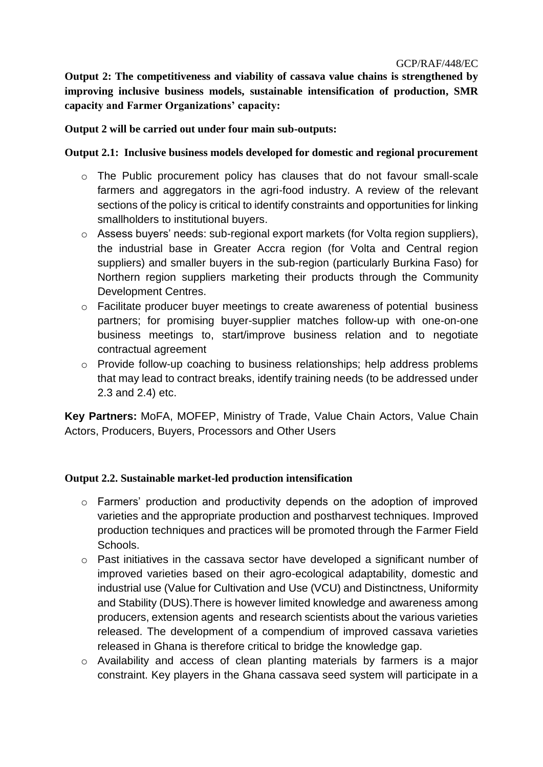**Output 2: The competitiveness and viability of cassava value chains is strengthened by improving inclusive business models, sustainable intensification of production, SMR capacity and Farmer Organizations' capacity:**

## **Output 2 will be carried out under four main sub-outputs:**

## **Output 2.1: Inclusive business models developed for domestic and regional procurement**

- o The Public procurement policy has clauses that do not favour small-scale farmers and aggregators in the agri-food industry. A review of the relevant sections of the policy is critical to identify constraints and opportunities for linking smallholders to institutional buyers.
- o Assess buyers' needs: sub-regional export markets (for Volta region suppliers), the industrial base in Greater Accra region (for Volta and Central region suppliers) and smaller buyers in the sub-region (particularly Burkina Faso) for Northern region suppliers marketing their products through the Community Development Centres.
- $\circ$  Facilitate producer buyer meetings to create awareness of potential business partners; for promising buyer-supplier matches follow-up with one-on-one business meetings to, start/improve business relation and to negotiate contractual agreement
- o Provide follow-up coaching to business relationships; help address problems that may lead to contract breaks, identify training needs (to be addressed under 2.3 and 2.4) etc.

**Key Partners:** MoFA, MOFEP, Ministry of Trade, Value Chain Actors, Value Chain Actors, Producers, Buyers, Processors and Other Users

#### **Output 2.2. Sustainable market-led production intensification**

- o Farmers' production and productivity depends on the adoption of improved varieties and the appropriate production and postharvest techniques. Improved production techniques and practices will be promoted through the Farmer Field Schools.
- o Past initiatives in the cassava sector have developed a significant number of improved varieties based on their agro-ecological adaptability, domestic and industrial use (Value for Cultivation and Use (VCU) and Distinctness, Uniformity and Stability (DUS).There is however limited knowledge and awareness among producers, extension agents and research scientists about the various varieties released. The development of a compendium of improved cassava varieties released in Ghana is therefore critical to bridge the knowledge gap.
- o Availability and access of clean planting materials by farmers is a major constraint. Key players in the Ghana cassava seed system will participate in a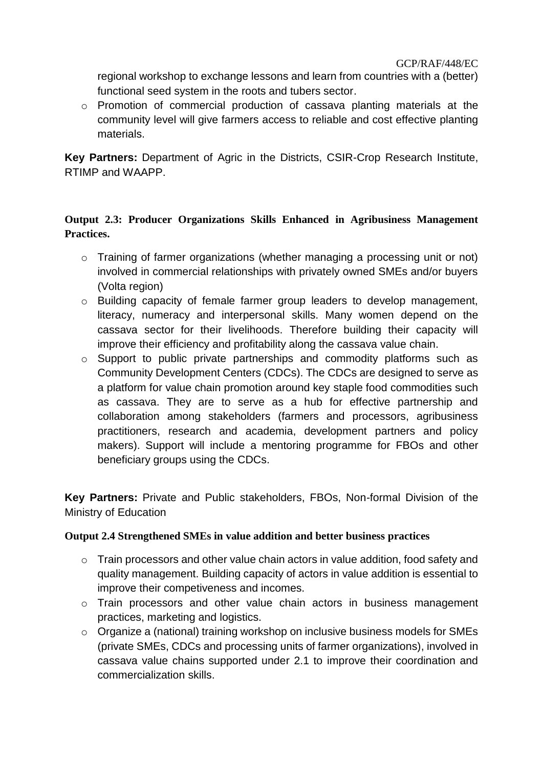regional workshop to exchange lessons and learn from countries with a (better) functional seed system in the roots and tubers sector.

o Promotion of commercial production of cassava planting materials at the community level will give farmers access to reliable and cost effective planting materials.

**Key Partners:** Department of Agric in the Districts, CSIR-Crop Research Institute, RTIMP and WAAPP.

# **Output 2.3: Producer Organizations Skills Enhanced in Agribusiness Management Practices.**

- o Training of farmer organizations (whether managing a processing unit or not) involved in commercial relationships with privately owned SMEs and/or buyers (Volta region)
- o Building capacity of female farmer group leaders to develop management, literacy, numeracy and interpersonal skills. Many women depend on the cassava sector for their livelihoods. Therefore building their capacity will improve their efficiency and profitability along the cassava value chain.
- o Support to public private partnerships and commodity platforms such as Community Development Centers (CDCs). The CDCs are designed to serve as a platform for value chain promotion around key staple food commodities such as cassava. They are to serve as a hub for effective partnership and collaboration among stakeholders (farmers and processors, agribusiness practitioners, research and academia, development partners and policy makers). Support will include a mentoring programme for FBOs and other beneficiary groups using the CDCs.

**Key Partners:** Private and Public stakeholders, FBOs, Non-formal Division of the Ministry of Education

## **Output 2.4 Strengthened SMEs in value addition and better business practices**

- o Train processors and other value chain actors in value addition, food safety and quality management. Building capacity of actors in value addition is essential to improve their competiveness and incomes.
- o Train processors and other value chain actors in business management practices, marketing and logistics.
- o Organize a (national) training workshop on inclusive business models for SMEs (private SMEs, CDCs and processing units of farmer organizations), involved in cassava value chains supported under 2.1 to improve their coordination and commercialization skills.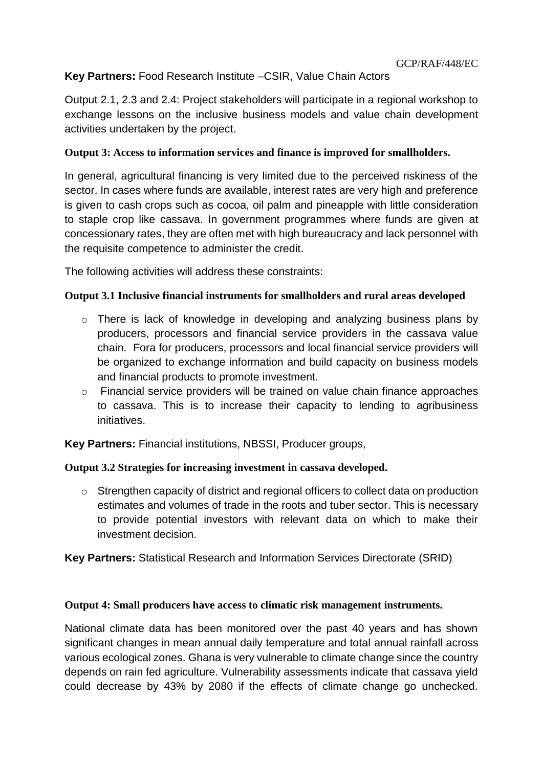# **Key Partners:** Food Research Institute –CSIR, Value Chain Actors

Output 2.1, 2.3 and 2.4: Project stakeholders will participate in a regional workshop to exchange lessons on the inclusive business models and value chain development activities undertaken by the project.

## **Output 3: Access to information services and finance is improved for smallholders.**

In general, agricultural financing is very limited due to the perceived riskiness of the sector. In cases where funds are available, interest rates are very high and preference is given to cash crops such as cocoa, oil palm and pineapple with little consideration to staple crop like cassava. In government programmes where funds are given at concessionary rates, they are often met with high bureaucracy and lack personnel with the requisite competence to administer the credit.

The following activities will address these constraints:

## **Output 3.1 Inclusive financial instruments for smallholders and rural areas developed**

- o There is lack of knowledge in developing and analyzing business plans by producers, processors and financial service providers in the cassava value chain. Fora for producers, processors and local financial service providers will be organized to exchange information and build capacity on business models and financial products to promote investment.
- o Financial service providers will be trained on value chain finance approaches to cassava. This is to increase their capacity to lending to agribusiness initiatives.

**Key Partners:** Financial institutions, NBSSI, Producer groups,

#### **Output 3.2 Strategies for increasing investment in cassava developed.**

o Strengthen capacity of district and regional officers to collect data on production estimates and volumes of trade in the roots and tuber sector. This is necessary to provide potential investors with relevant data on which to make their investment decision.

**Key Partners:** Statistical Research and Information Services Directorate (SRID)

#### **Output 4: Small producers have access to climatic risk management instruments.**

National climate data has been monitored over the past 40 years and has shown significant changes in mean annual daily temperature and total annual rainfall across various ecological zones. Ghana is very vulnerable to climate change since the country depends on rain fed agriculture. Vulnerability assessments indicate that cassava yield could decrease by 43% by 2080 if the effects of climate change go unchecked.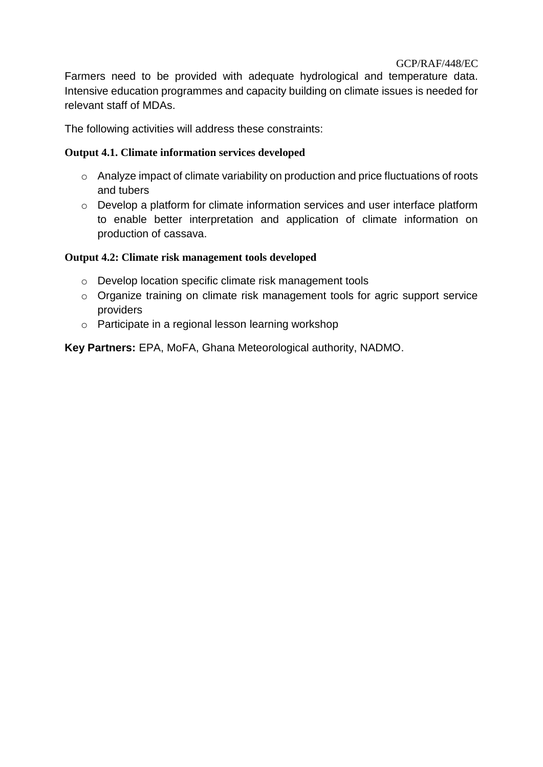Farmers need to be provided with adequate hydrological and temperature data. Intensive education programmes and capacity building on climate issues is needed for relevant staff of MDAs.

The following activities will address these constraints:

## **Output 4.1. Climate information services developed**

- o Analyze impact of climate variability on production and price fluctuations of roots and tubers
- o Develop a platform for climate information services and user interface platform to enable better interpretation and application of climate information on production of cassava.

#### **Output 4.2: Climate risk management tools developed**

- o Develop location specific climate risk management tools
- o Organize training on climate risk management tools for agric support service providers
- o Participate in a regional lesson learning workshop

**Key Partners:** EPA, MoFA, Ghana Meteorological authority, NADMO.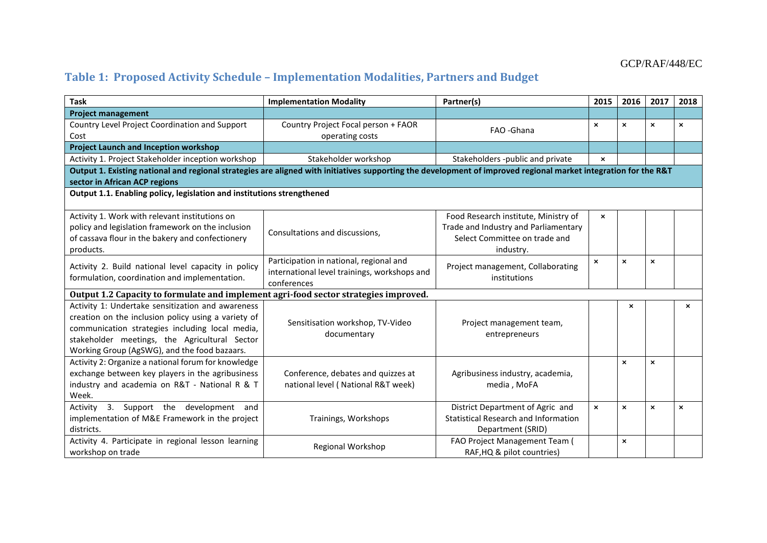# **Table 1: Proposed Activity Schedule – Implementation Modalities, Partners and Budget**

| <b>Task</b>                                                                                                                                                                                                                                                  | <b>Implementation Modality</b>                                                                         | Partner(s)                                                                                                                 | 2015                      | 2016                      | 2017                      | 2018                      |  |
|--------------------------------------------------------------------------------------------------------------------------------------------------------------------------------------------------------------------------------------------------------------|--------------------------------------------------------------------------------------------------------|----------------------------------------------------------------------------------------------------------------------------|---------------------------|---------------------------|---------------------------|---------------------------|--|
| <b>Project management</b>                                                                                                                                                                                                                                    |                                                                                                        |                                                                                                                            |                           |                           |                           |                           |  |
| Country Level Project Coordination and Support<br>Cost                                                                                                                                                                                                       | Country Project Focal person + FAOR<br>operating costs                                                 | FAO - Ghana                                                                                                                | $\boldsymbol{\mathsf{x}}$ | $\boldsymbol{\mathsf{x}}$ | $\boldsymbol{\mathsf{x}}$ | ×                         |  |
| <b>Project Launch and Inception workshop</b>                                                                                                                                                                                                                 |                                                                                                        |                                                                                                                            |                           |                           |                           |                           |  |
| Activity 1. Project Stakeholder inception workshop                                                                                                                                                                                                           | Stakeholder workshop                                                                                   | Stakeholders -public and private                                                                                           | $\mathbf{x}$              |                           |                           |                           |  |
| Output 1. Existing national and regional strategies are aligned with initiatives supporting the development of improved regional market integration for the R&T                                                                                              |                                                                                                        |                                                                                                                            |                           |                           |                           |                           |  |
| sector in African ACP regions                                                                                                                                                                                                                                |                                                                                                        |                                                                                                                            |                           |                           |                           |                           |  |
| Output 1.1. Enabling policy, legislation and institutions strengthened                                                                                                                                                                                       |                                                                                                        |                                                                                                                            |                           |                           |                           |                           |  |
| Activity 1. Work with relevant institutions on<br>policy and legislation framework on the inclusion<br>of cassava flour in the bakery and confectionery<br>products.                                                                                         | Consultations and discussions,                                                                         | Food Research institute, Ministry of<br>Trade and Industry and Parliamentary<br>Select Committee on trade and<br>industry. | $\boldsymbol{\mathsf{x}}$ |                           |                           |                           |  |
| Activity 2. Build national level capacity in policy<br>formulation, coordination and implementation.                                                                                                                                                         | Participation in national, regional and<br>international level trainings, workshops and<br>conferences | Project management, Collaborating<br>institutions                                                                          | ×                         | $\boldsymbol{\mathsf{x}}$ | $\pmb{\times}$            |                           |  |
| Output 1.2 Capacity to formulate and implement agri-food sector strategies improved.                                                                                                                                                                         |                                                                                                        |                                                                                                                            |                           |                           |                           |                           |  |
| Activity 1: Undertake sensitization and awareness<br>creation on the inclusion policy using a variety of<br>communication strategies including local media,<br>stakeholder meetings, the Agricultural Sector<br>Working Group (AgSWG), and the food bazaars. | Sensitisation workshop, TV-Video<br>documentary                                                        | Project management team,<br>entrepreneurs                                                                                  |                           | $\boldsymbol{\mathsf{x}}$ |                           | $\boldsymbol{\mathsf{x}}$ |  |
| Activity 2: Organize a national forum for knowledge<br>exchange between key players in the agribusiness<br>industry and academia on R&T - National R & T<br>Week.                                                                                            | Conference, debates and quizzes at<br>national level (National R&T week)                               | Agribusiness industry, academia,<br>media, MoFA                                                                            |                           | $\mathbf{x}$              | $\boldsymbol{\mathsf{x}}$ |                           |  |
| 3. Support the development and<br>Activity<br>implementation of M&E Framework in the project<br>districts.                                                                                                                                                   | Trainings, Workshops                                                                                   | District Department of Agric and<br>Statistical Research and Information<br>Department (SRID)                              | $\mathsf{x}$              | $\boldsymbol{\mathsf{x}}$ | $\boldsymbol{\mathsf{x}}$ | $\boldsymbol{\mathsf{x}}$ |  |
| Activity 4. Participate in regional lesson learning<br>workshop on trade                                                                                                                                                                                     | Regional Workshop                                                                                      | FAO Project Management Team (<br>RAF, HQ & pilot countries)                                                                |                           | $\boldsymbol{\mathsf{x}}$ |                           |                           |  |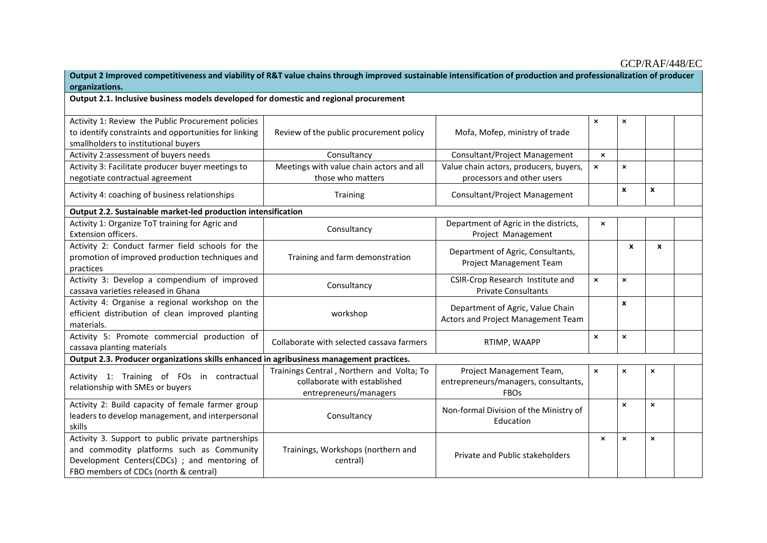| Output 2 Improved competitiveness and viability of R&T value chains through improved sustainable intensification of production and professionalization of producer<br>organizations.     |                                                                                                     |                                                                                 |                           |                           |   |  |
|------------------------------------------------------------------------------------------------------------------------------------------------------------------------------------------|-----------------------------------------------------------------------------------------------------|---------------------------------------------------------------------------------|---------------------------|---------------------------|---|--|
| Output 2.1. Inclusive business models developed for domestic and regional procurement                                                                                                    |                                                                                                     |                                                                                 |                           |                           |   |  |
| Activity 1: Review the Public Procurement policies<br>to identify constraints and opportunities for linking<br>smallholders to institutional buyers                                      | Review of the public procurement policy                                                             | Mofa, Mofep, ministry of trade                                                  | $\pmb{\times}$            | $\pmb{\times}$            |   |  |
| Activity 2:assessment of buyers needs                                                                                                                                                    | Consultancy                                                                                         | Consultant/Project Management                                                   | $\boldsymbol{\mathsf{x}}$ |                           |   |  |
| Activity 3: Facilitate producer buyer meetings to<br>negotiate contractual agreement                                                                                                     | Meetings with value chain actors and all<br>those who matters                                       | Value chain actors, producers, buyers,<br>processors and other users            | $\boldsymbol{\mathsf{x}}$ | $\mathsf{x}$              |   |  |
| Activity 4: coaching of business relationships                                                                                                                                           | Training                                                                                            | Consultant/Project Management                                                   |                           | X                         | x |  |
| Output 2.2. Sustainable market-led production intensification                                                                                                                            |                                                                                                     |                                                                                 |                           |                           |   |  |
| Activity 1: Organize ToT training for Agric and<br>Extension officers.                                                                                                                   | Consultancy                                                                                         | Department of Agric in the districts,<br>Project Management                     | ×                         |                           |   |  |
| Activity 2: Conduct farmer field schools for the<br>promotion of improved production techniques and<br>practices                                                                         | Training and farm demonstration                                                                     | Department of Agric, Consultants,<br><b>Project Management Team</b>             |                           | X                         | X |  |
| Activity 3: Develop a compendium of improved<br>cassava varieties released in Ghana                                                                                                      | Consultancy                                                                                         | CSIR-Crop Research Institute and<br><b>Private Consultants</b>                  | $\boldsymbol{\mathsf{x}}$ | ×                         |   |  |
| Activity 4: Organise a regional workshop on the<br>efficient distribution of clean improved planting<br>materials.                                                                       | workshop                                                                                            | Department of Agric, Value Chain<br>Actors and Project Management Team          |                           | $\pmb{\chi}$              |   |  |
| Activity 5: Promote commercial production of<br>cassava planting materials                                                                                                               | Collaborate with selected cassava farmers                                                           | RTIMP, WAAPP                                                                    | $\pmb{\times}$            | $\boldsymbol{\mathsf{x}}$ |   |  |
| Output 2.3. Producer organizations skills enhanced in agribusiness management practices.                                                                                                 |                                                                                                     |                                                                                 |                           |                           |   |  |
| Activity 1: Training of FOs in contractual<br>relationship with SMEs or buyers                                                                                                           | Trainings Central, Northern and Volta; To<br>collaborate with established<br>entrepreneurs/managers | Project Management Team,<br>entrepreneurs/managers, consultants,<br><b>FBOs</b> | $\pmb{\times}$            | $\pmb{\times}$            | × |  |
| Activity 2: Build capacity of female farmer group<br>leaders to develop management, and interpersonal<br>skills                                                                          | Consultancy                                                                                         | Non-formal Division of the Ministry of<br>Education                             |                           | $\pmb{\times}$            | × |  |
| Activity 3. Support to public private partnerships<br>and commodity platforms such as Community<br>Development Centers(CDCs) ; and mentoring of<br>FBO members of CDCs (north & central) | Trainings, Workshops (northern and<br>central)                                                      | Private and Public stakeholders                                                 | $\boldsymbol{\mathsf{x}}$ | $\pmb{\times}$            | × |  |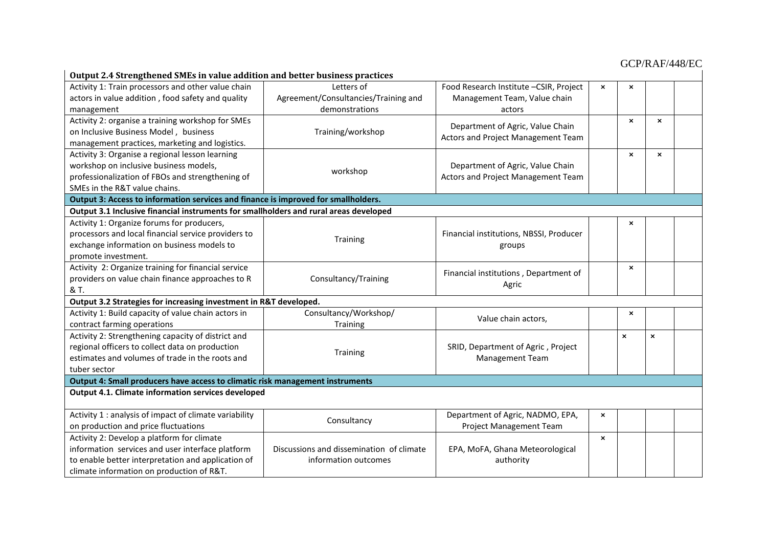| Output 2.4 Strengthened SMEs in value addition and better business practices                          |                                                                  |                                                                        |                           |                           |                           |  |
|-------------------------------------------------------------------------------------------------------|------------------------------------------------------------------|------------------------------------------------------------------------|---------------------------|---------------------------|---------------------------|--|
| Activity 1: Train processors and other value chain                                                    | Letters of                                                       | Food Research Institute - CSIR, Project                                | $\pmb{\times}$            | $\pmb{\times}$            |                           |  |
| actors in value addition, food safety and quality                                                     | Agreement/Consultancies/Training and                             | Management Team, Value chain                                           |                           |                           |                           |  |
| management                                                                                            | demonstrations                                                   | actors                                                                 |                           |                           |                           |  |
| Activity 2: organise a training workshop for SMEs                                                     | Training/workshop                                                | Department of Agric, Value Chain<br>Actors and Project Management Team |                           | $\boldsymbol{\mathsf{x}}$ | $\boldsymbol{\mathsf{x}}$ |  |
| on Inclusive Business Model, business                                                                 |                                                                  |                                                                        |                           |                           |                           |  |
| management practices, marketing and logistics.                                                        |                                                                  |                                                                        |                           |                           |                           |  |
| Activity 3: Organise a regional lesson learning                                                       |                                                                  | Department of Agric, Value Chain<br>Actors and Project Management Team |                           | $\boldsymbol{\mathsf{x}}$ | $\boldsymbol{\mathsf{x}}$ |  |
| workshop on inclusive business models,                                                                | workshop                                                         |                                                                        |                           |                           |                           |  |
| professionalization of FBOs and strengthening of                                                      |                                                                  |                                                                        |                           |                           |                           |  |
| SMEs in the R&T value chains.                                                                         |                                                                  |                                                                        |                           |                           |                           |  |
| Output 3: Access to information services and finance is improved for smallholders.                    |                                                                  |                                                                        |                           |                           |                           |  |
| Output 3.1 Inclusive financial instruments for smallholders and rural areas developed                 |                                                                  |                                                                        |                           |                           |                           |  |
| Activity 1: Organize forums for producers,                                                            |                                                                  |                                                                        |                           | $\boldsymbol{\mathsf{x}}$ |                           |  |
| processors and local financial service providers to                                                   | Training                                                         | Financial institutions, NBSSI, Producer<br>groups                      |                           |                           |                           |  |
| exchange information on business models to                                                            |                                                                  |                                                                        |                           |                           |                           |  |
| promote investment.                                                                                   |                                                                  |                                                                        |                           |                           |                           |  |
| Activity 2: Organize training for financial service                                                   |                                                                  | Financial institutions, Department of<br>Agric                         |                           | $\boldsymbol{\mathsf{x}}$ |                           |  |
| providers on value chain finance approaches to R                                                      | Consultancy/Training                                             |                                                                        |                           |                           |                           |  |
| & T.                                                                                                  |                                                                  |                                                                        |                           |                           |                           |  |
| Output 3.2 Strategies for increasing investment in R&T developed.                                     |                                                                  |                                                                        |                           |                           |                           |  |
| Activity 1: Build capacity of value chain actors in                                                   | Consultancy/Workshop/                                            | Value chain actors,                                                    |                           | $\boldsymbol{\mathsf{x}}$ |                           |  |
| contract farming operations                                                                           | Training                                                         |                                                                        |                           | $\mathsf{x}$              |                           |  |
| Activity 2: Strengthening capacity of district and<br>regional officers to collect data on production |                                                                  | SRID, Department of Agric, Project<br>Management Team                  |                           |                           | $\mathsf{x}$              |  |
| estimates and volumes of trade in the roots and                                                       | Training                                                         |                                                                        |                           |                           |                           |  |
| tuber sector                                                                                          |                                                                  |                                                                        |                           |                           |                           |  |
| Output 4: Small producers have access to climatic risk management instruments                         |                                                                  |                                                                        |                           |                           |                           |  |
| <b>Output 4.1. Climate information services developed</b>                                             |                                                                  |                                                                        |                           |                           |                           |  |
|                                                                                                       |                                                                  |                                                                        |                           |                           |                           |  |
| Activity 1 : analysis of impact of climate variability                                                |                                                                  | Department of Agric, NADMO, EPA,                                       | $\pmb{\times}$            |                           |                           |  |
| on production and price fluctuations                                                                  | Consultancy                                                      | Project Management Team                                                |                           |                           |                           |  |
| Activity 2: Develop a platform for climate                                                            | Discussions and dissemination of climate<br>information outcomes | EPA, MoFA, Ghana Meteorological<br>authority                           | $\boldsymbol{\mathsf{x}}$ |                           |                           |  |
| information services and user interface platform                                                      |                                                                  |                                                                        |                           |                           |                           |  |
| to enable better interpretation and application of                                                    |                                                                  |                                                                        |                           |                           |                           |  |
| climate information on production of R&T.                                                             |                                                                  |                                                                        |                           |                           |                           |  |